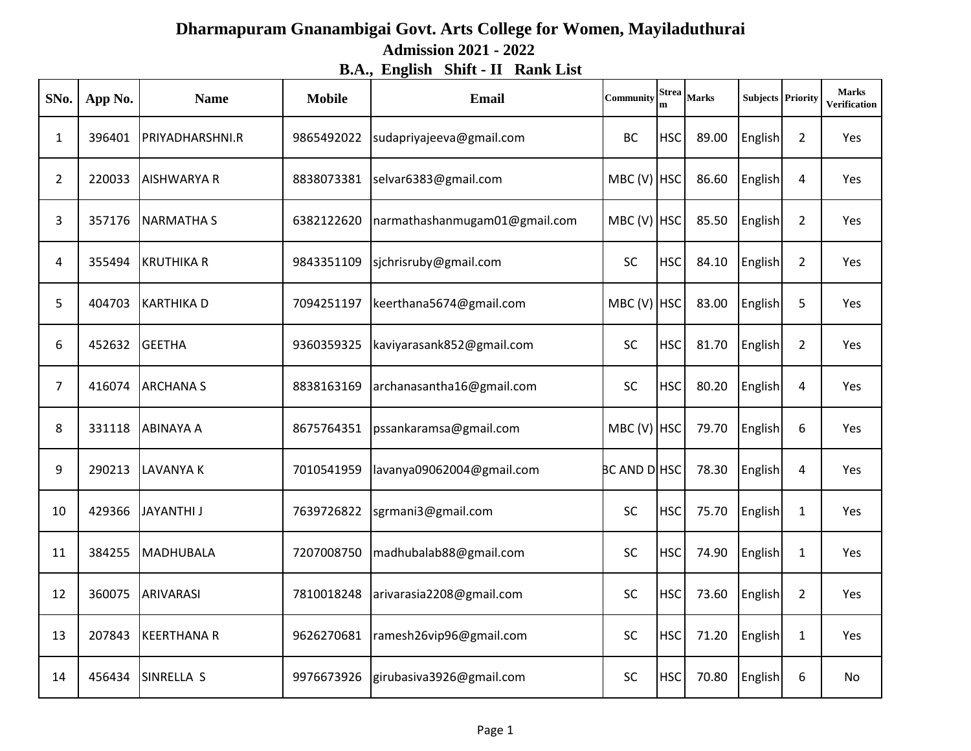## **Dharmapuram Gnanambigai Govt. Arts College for Women, Mayiladuthurai Admission 2021 - 2022 B.A., English Shift - II Rank List**

| SNo.           | App No. | <b>Name</b>        | <b>Mobile</b> | <b>Email</b>                  | Community           | <b>Strea</b> | <b>Marks</b> | <b>Subjects Priority</b> |                | <b>Marks</b><br><b>Verification</b> |
|----------------|---------|--------------------|---------------|-------------------------------|---------------------|--------------|--------------|--------------------------|----------------|-------------------------------------|
| $\mathbf{1}$   | 396401  | PRIYADHARSHNI.R    | 9865492022    | sudapriyajeeva@gmail.com      | <b>BC</b>           | <b>HSC</b>   | 89.00        | <b>English</b>           | $\overline{2}$ | Yes                                 |
| $\overline{2}$ | 220033  | <b>AISHWARYA R</b> | 8838073381    | selvar6383@gmail.com          | $MBC (V)$ HSC       |              | 86.60        | <b>English</b>           | 4              | Yes                                 |
| 3              | 357176  | <b>NARMATHA S</b>  | 6382122620    | narmathashanmugam01@gmail.com | $MBC (V)$ HSC       |              | 85.50        | <b>English</b>           | $\overline{2}$ | Yes                                 |
| 4              | 355494  | <b>KRUTHIKA R</b>  | 9843351109    | sjchrisruby@gmail.com         | <b>SC</b>           | <b>HSC</b>   | 84.10        | <b>English</b>           | $\overline{2}$ | Yes                                 |
| 5              | 404703  | <b>KARTHIKAD</b>   | 7094251197    | keerthana5674@gmail.com       | $MBC (V)$ HSC       |              | 83.00        | <b>English</b>           | 5              | Yes                                 |
| 6              | 452632  | <b>GEETHA</b>      | 9360359325    | kaviyarasank852@gmail.com     | <b>SC</b>           | <b>HSC</b>   | 81.70        | <b>English</b>           | $\overline{2}$ | Yes                                 |
| $\overline{7}$ | 416074  | <b>ARCHANA S</b>   | 8838163169    | archanasantha16@gmail.com     | SC                  | <b>HSC</b>   | 80.20        | <b>English</b>           | 4              | Yes                                 |
| 8              | 331118  | <b>ABINAYA A</b>   | 8675764351    | pssankaramsa@gmail.com        | MBC (V) $HSC$       |              | 79.70        | English                  | 6              | Yes                                 |
| 9              | 290213  | <b>LAVANYA K</b>   | 7010541959    | lavanya09062004@gmail.com     | <b>BC AND DIHSC</b> |              | 78.30        | <b>English</b>           | 4              | Yes                                 |
| 10             | 429366  | <b>JAYANTHI J</b>  | 7639726822    | sgrmani3@gmail.com            | SC                  | <b>HSC</b>   | 75.70        | English                  | $\mathbf{1}$   | Yes                                 |
| 11             | 384255  | <b>MADHUBALA</b>   | 7207008750    | madhubalab88@gmail.com        | <b>SC</b>           | <b>HSC</b>   | 74.90        | English                  | $\mathbf{1}$   | Yes                                 |
| 12             | 360075  | <b>ARIVARASI</b>   | 7810018248    | arivarasia2208@gmail.com      | SC                  | <b>HSC</b>   | 73.60        | <b>English</b>           | $\overline{2}$ | Yes                                 |
| 13             | 207843  | <b>KEERTHANA R</b> | 9626270681    | ramesh26vip96@gmail.com       | SC                  | <b>HSC</b>   | 71.20        | English                  | $\mathbf{1}$   | Yes                                 |
| 14             | 456434  | SINRELLA S         | 9976673926    | girubasiva3926@gmail.com      | SC                  | <b>HSC</b>   | 70.80        | <b>English</b>           | 6              | No                                  |